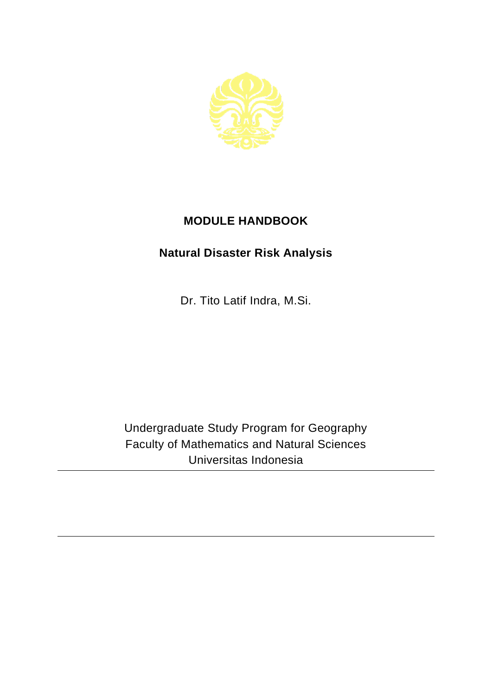

## **MODULE HANDBOOK**

## **Natural Disaster Risk Analysis**

Dr. Tito Latif Indra, M.Si.

Undergraduate Study Program for Geography Faculty of Mathematics and Natural Sciences Universitas Indonesia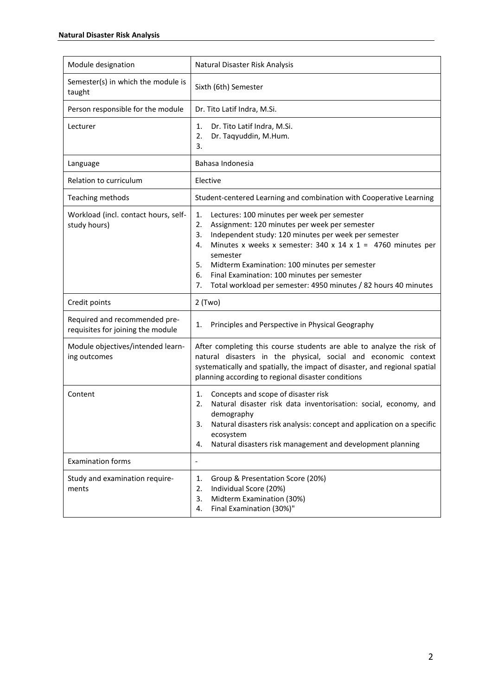| Module designation                                                 | Natural Disaster Risk Analysis                                                                                                                                                                                                                                                                                                                                                                                                               |
|--------------------------------------------------------------------|----------------------------------------------------------------------------------------------------------------------------------------------------------------------------------------------------------------------------------------------------------------------------------------------------------------------------------------------------------------------------------------------------------------------------------------------|
| Semester(s) in which the module is<br>taught                       | Sixth (6th) Semester                                                                                                                                                                                                                                                                                                                                                                                                                         |
| Person responsible for the module                                  | Dr. Tito Latif Indra, M.Si.                                                                                                                                                                                                                                                                                                                                                                                                                  |
| Lecturer                                                           | Dr. Tito Latif Indra, M.Si.<br>1.<br>Dr. Taqyuddin, M.Hum.<br>2.<br>3.                                                                                                                                                                                                                                                                                                                                                                       |
| Language                                                           | Bahasa Indonesia                                                                                                                                                                                                                                                                                                                                                                                                                             |
| Relation to curriculum                                             | Elective                                                                                                                                                                                                                                                                                                                                                                                                                                     |
| Teaching methods                                                   | Student-centered Learning and combination with Cooperative Learning                                                                                                                                                                                                                                                                                                                                                                          |
| Workload (incl. contact hours, self-<br>study hours)               | Lectures: 100 minutes per week per semester<br>1.<br>Assignment: 120 minutes per week per semester<br>2.<br>Independent study: 120 minutes per week per semester<br>3.<br>Minutes x weeks x semester: 340 x 14 x 1 = 4760 minutes per<br>4.<br>semester<br>Midterm Examination: 100 minutes per semester<br>5.<br>6.<br>Final Examination: 100 minutes per semester<br>Total workload per semester: 4950 minutes / 82 hours 40 minutes<br>7. |
| Credit points                                                      | $2$ (Two)                                                                                                                                                                                                                                                                                                                                                                                                                                    |
| Required and recommended pre-<br>requisites for joining the module | Principles and Perspective in Physical Geography<br>1.                                                                                                                                                                                                                                                                                                                                                                                       |
| Module objectives/intended learn-<br>ing outcomes                  | After completing this course students are able to analyze the risk of<br>natural disasters in the physical, social and economic context<br>systematically and spatially, the impact of disaster, and regional spatial<br>planning according to regional disaster conditions                                                                                                                                                                  |
| Content                                                            | Concepts and scope of disaster risk<br>1.<br>Natural disaster risk data inventorisation: social, economy, and<br>2.<br>demography<br>Natural disasters risk analysis: concept and application on a specific<br>3.<br>ecosystem<br>Natural disasters risk management and development planning<br>4.                                                                                                                                           |
| <b>Examination forms</b>                                           | $\overline{\phantom{m}}$                                                                                                                                                                                                                                                                                                                                                                                                                     |
| Study and examination require-<br>ments                            | Group & Presentation Score (20%)<br>1.<br>Individual Score (20%)<br>2.<br>Midterm Examination (30%)<br>3.<br>Final Examination (30%)"<br>4.                                                                                                                                                                                                                                                                                                  |